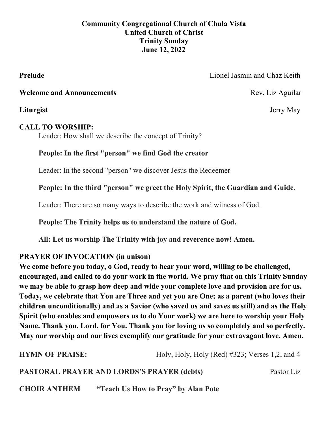# **Community Congregational Church of Chula Vista United Church of Christ Trinity Sunday June 12, 2022**

**Prelude** Lionel Jasmin and Chaz Keith

**Welcome and Announcements Rev. Liz Aguilar Rev. Liz Aguilar** 

**Liturgist** Jerry May

# **CALL TO WORSHIP:**

Leader: How shall we describe the concept of Trinity?

# **People: In the first "person" we find God the creator**

Leader: In the second "person" we discover Jesus the Redeemer

**People: In the third "person" we greet the Holy Spirit, the Guardian and Guide.**

Leader: There are so many ways to describe the work and witness of God.

**People: The Trinity helps us to understand the nature of God.** 

**All: Let us worship The Trinity with joy and reverence now! Amen.**

# **PRAYER OF INVOCATION (in unison)**

**We come before you today, o God, ready to hear your word, willing to be challenged, encouraged, and called to do your work in the world. We pray that on this Trinity Sunday we may be able to grasp how deep and wide your complete love and provision are for us. Today, we celebrate that You are Three and yet you are One; as a parent (who loves their children unconditionally) and as a Savior (who saved us and saves us still) and as the Holy Spirit (who enables and empowers us to do Your work) we are here to worship your Holy Name. Thank you, Lord, for You. Thank you for loving us so completely and so perfectly. May our worship and our lives exemplify our gratitude for your extravagant love. Amen.**

**HYMN OF PRAISE:** Holy, Holy, Holy (Red) #323; Verses 1,2, and 4 **PASTORAL PRAYER AND LORDS'S PRAYER (debts)** Pastor Liz **CHOIR ANTHEM "Teach Us How to Pray" by Alan Pote**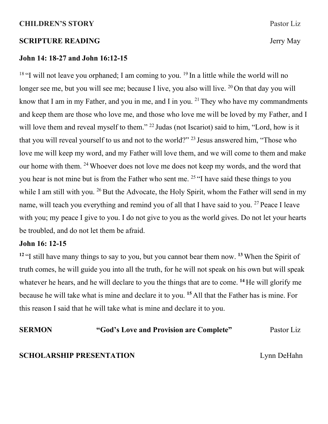#### **CHILDREN'S STORY** Pastor Liz

#### **SCRIPTURE READING** Jerry May

#### **John 14: 18-27 and John 16:12-15**

<sup>18</sup> "I will not leave you orphaned; I am coming to you. <sup>19</sup> In a little while the world will no longer see me, but you will see me; because I live, you also will live.  $^{20}$  On that day you will know that I am in my Father, and you in me, and I in you. <sup>21</sup> They who have my commandments and keep them are those who love me, and those who love me will be loved by my Father, and I will love them and reveal myself to them." <sup>22</sup> Judas (not Iscariot) said to him, "Lord, how is it that you will reveal yourself to us and not to the world?" <sup>23</sup> Jesus answered him, "Those who love me will keep my word, and my Father will love them, and we will come to them and make our home with them. <sup>24</sup> Whoever does not love me does not keep my words, and the word that you hear is not mine but is from the Father who sent me. <sup>25</sup> "I have said these things to you while I am still with you. <sup>26</sup> But the Advocate, the Holy Spirit, whom the Father will send in my name, will teach you everything and remind you of all that I have said to you. <sup>27</sup> Peace I leave with you; my peace I give to you. I do not give to you as the world gives. Do not let your hearts be troubled, and do not let them be afraid.

### **John 16: 12-15**

**<sup>12</sup>** "I still have many things to say to you, but you cannot bear them now. **<sup>13</sup>** When the Spirit of truth comes, he will guide you into all the truth, for he will not speak on his own but will speak whatever he hears, and he will declare to you the things that are to come. **<sup>14</sup>** He will glorify me because he will take what is mine and declare it to you. **<sup>15</sup>** All that the Father has is mine. For this reason I said that he will take what is mine and declare it to you.

**SERMON** "God's Love and Provision are Complete" Pastor Liz

### **SCHOLARSHIP PRESENTATION** Lynn DeHahn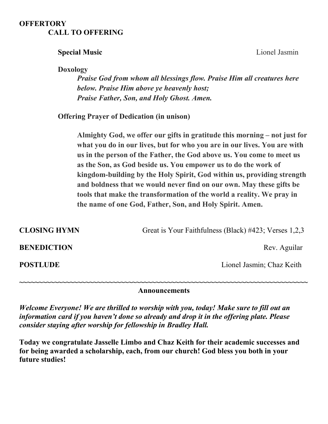## **OFFERTORY CALL TO OFFERING**

# **Special Music Music Music Music Music Music Music Music Music Music Music Music Music Music**

**Doxology** 

*Praise God from whom all blessings flow. Praise Him all creatures here below. Praise Him above ye heavenly host; Praise Father, Son, and Holy Ghost. Amen.*

 **Offering Prayer of Dedication (in unison)**

**Almighty God, we offer our gifts in gratitude this morning – not just for what you do in our lives, but for who you are in our lives. You are with us in the person of the Father, the God above us. You come to meet us as the Son, as God beside us. You empower us to do the work of kingdom-building by the Holy Spirit, God within us, providing strength and boldness that we would never find on our own. May these gifts be tools that make the transformation of the world a reality. We pray in the name of one God, Father, Son, and Holy Spirit. Amen.**

**CLOSING HYMN** Great is Your Faithfulness (Black) #423; Verses 1,2,3 **BENEDICTION** Rev. Aguilar **POSTLUDE** Lionel Jasmin; Chaz Keith **~~~~~~~~~~~~~~~~~~~~~~~~~~~~~~~~~~~~~~~~~~~~~~~~~~~~~~~~~~~~~~~~~~~~~~~~~~ Announcements**

*Welcome Everyone! We are thrilled to worship with you, today! Make sure to fill out an information card if you haven't done so already and drop it in the offering plate. Please consider staying after worship for fellowship in Bradley Hall.* 

**Today we congratulate Jasselle Limbo and Chaz Keith for their academic successes and for being awarded a scholarship, each, from our church! God bless you both in your future studies!**